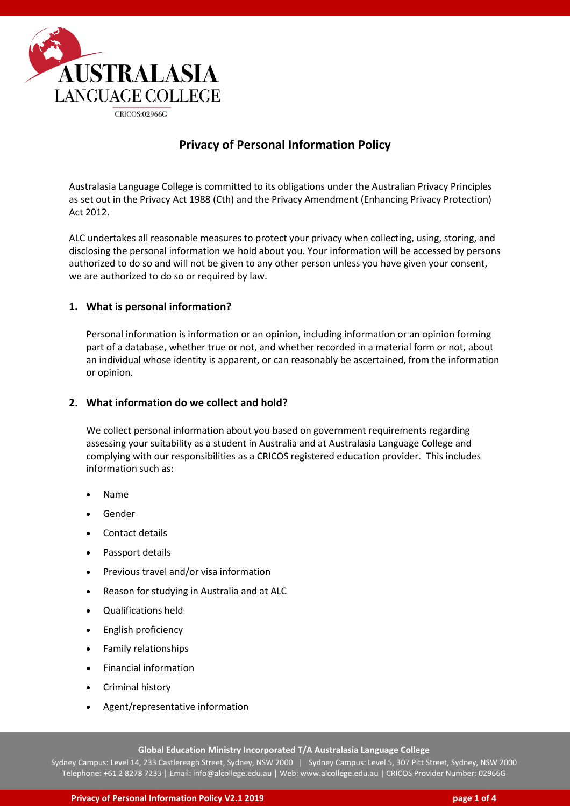

# **Privacy of Personal Information Policy**

Australasia Language College is committed to its obligations under the Australian Privacy Principles as set out in the Privacy Act 1988 (Cth) and the Privacy Amendment (Enhancing Privacy Protection) Act 2012.

ALC undertakes all reasonable measures to protect your privacy when collecting, using, storing, and disclosing the personal information we hold about you. Your information will be accessed by persons authorized to do so and will not be given to any other person unless you have given your consent, we are authorized to do so or required by law.

### **1. What is personal information?**

Personal information is information or an opinion, including information or an opinion forming part of a database, whether true or not, and whether recorded in a material form or not, about an individual whose identity is apparent, or can reasonably be ascertained, from the information or opinion.

#### **2. What information do we collect and hold?**

We collect personal information about you based on government requirements regarding assessing your suitability as a student in Australia and at Australasia Language College and complying with our responsibilities as a CRICOS registered education provider. This includes information such as:

- Name
- Gender
- Contact details
- Passport details
- Previous travel and/or visa information
- Reason for studying in Australia and at ALC
- Qualifications held
- English proficiency
- Family relationships
- Financial information
- Criminal history
- Agent/representative information

**Global Education Ministry Incorporated T/A Australasia Language College**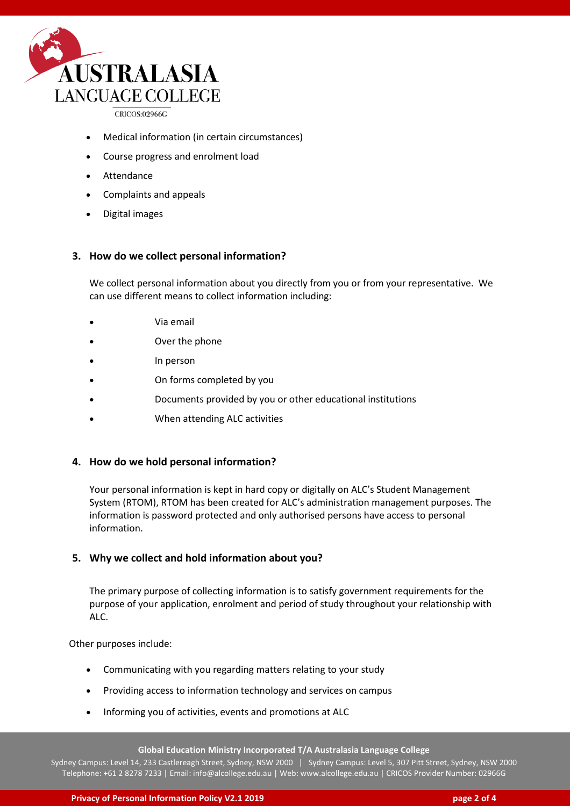

CRICOS:02966G

- Medical information (in certain circumstances)
- Course progress and enrolment load
- Attendance
- Complaints and appeals
- Digital images

### **3. How do we collect personal information?**

We collect personal information about you directly from you or from your representative. We can use different means to collect information including:

- Via email
- Over the phone
- In person
- On forms completed by you
- Documents provided by you or other educational institutions
- When attending ALC activities

# **4. How do we hold personal information?**

Your personal information is kept in hard copy or digitally on ALC's Student Management System (RTOM), RTOM has been created for ALC's administration management purposes. The information is password protected and only authorised persons have access to personal information.

# **5. Why we collect and hold information about you?**

The primary purpose of collecting information is to satisfy government requirements for the purpose of your application, enrolment and period of study throughout your relationship with ALC.

Other purposes include:

- Communicating with you regarding matters relating to your study
- Providing access to information technology and services on campus
- Informing you of activities, events and promotions at ALC

#### **Global Education Ministry Incorporated T/A Australasia Language College**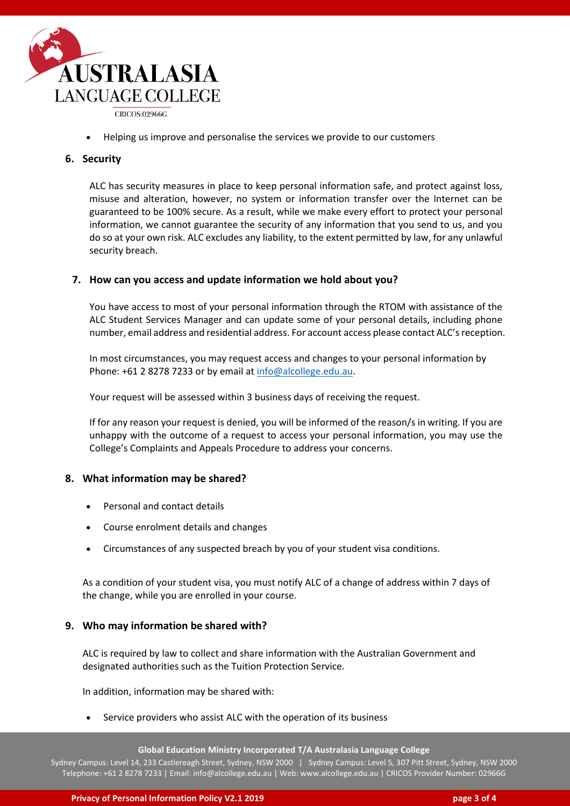

• Helping us improve and personalise the services we provide to our customers

#### **6. Security**

ALC has security measures in place to keep personal information safe, and protect against loss, misuse and alteration, however, no system or information transfer over the Internet can be guaranteed to be 100% secure. As a result, while we make every effort to protect your personal information, we cannot guarantee the security of any information that you send to us, and you do so at your own risk. ALC excludes any liability, to the extent permitted by law, for any unlawful security breach.

### **7. How can you access and update information we hold about you?**

You have access to most of your personal information through the RTOM with assistance of the ALC Student Services Manager and can update some of your personal details, including phone number, email address and residential address. For account access please contact ALC'sreception.

In most circumstances, you may request access and changes to your personal information by Phone: +61 2 8278 7233 or by email at [info@alcollege.edu.au.](mailto:info@scotsenglish.edu.au)

Your request will be assessed within 3 business days of receiving the request.

If for any reason your request is denied, you will be informed of the reason/s in writing. If you are unhappy with the outcome of a request to access your personal information, you may use the College's Complaints and Appeals Procedure to address your concerns.

#### **8. What information may be shared?**

- Personal and contact details
- Course enrolment details and changes
- Circumstances of any suspected breach by you of your student visa conditions.

As a condition of your student visa, you must notify ALC of a change of address within 7 days of the change, while you are enrolled in your course.

#### **9. Who may information be shared with?**

ALC is required by law to collect and share information with the Australian Government and designated authorities such as the Tuition Protection Service.

In addition, information may be shared with:

Service providers who assist ALC with the operation of its business

**Global Education Ministry Incorporated T/A Australasia Language College**